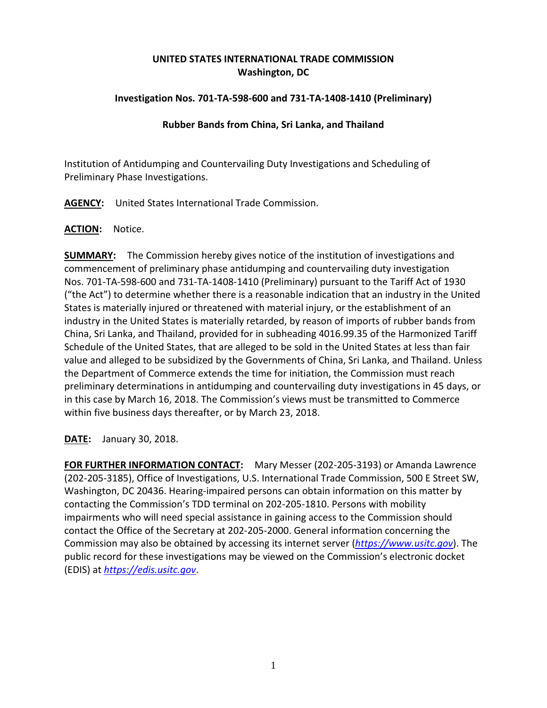# **UNITED STATES INTERNATIONAL TRADE COMMISSION Washington, DC**

## **Investigation Nos. 701-TA-598-600 and 731-TA-1408-1410 (Preliminary)**

### **Rubber Bands from China, Sri Lanka, and Thailand**

Institution of Antidumping and Countervailing Duty Investigations and Scheduling of Preliminary Phase Investigations.

**AGENCY:** United States International Trade Commission.

#### **ACTION:** Notice.

**SUMMARY:** The Commission hereby gives notice of the institution of investigations and commencement of preliminary phase antidumping and countervailing duty investigation Nos. 701-TA-598-600 and 731-TA-1408-1410 (Preliminary) pursuant to the Tariff Act of 1930 ("the Act") to determine whether there is a reasonable indication that an industry in the United States is materially injured or threatened with material injury, or the establishment of an industry in the United States is materially retarded, by reason of imports of rubber bands from China, Sri Lanka, and Thailand, provided for in subheading 4016.99.35 of the Harmonized Tariff Schedule of the United States, that are alleged to be sold in the United States at less than fair value and alleged to be subsidized by the Governments of China, Sri Lanka, and Thailand. Unless the Department of Commerce extends the time for initiation, the Commission must reach preliminary determinations in antidumping and countervailing duty investigations in 45 days, or in this case by March 16, 2018. The Commission's views must be transmitted to Commerce within five business days thereafter, or by March 23, 2018.

**DATE:** January 30, 2018.

**FOR FURTHER INFORMATION CONTACT:** Mary Messer (202-205-3193) or Amanda Lawrence (202-205-3185), Office of Investigations, U.S. International Trade Commission, 500 E Street SW, Washington, DC 20436. Hearing-impaired persons can obtain information on this matter by contacting the Commission's TDD terminal on 202-205-1810. Persons with mobility impairments who will need special assistance in gaining access to the Commission should contact the Office of the Secretary at 202-205-2000. General information concerning the Commission may also be obtained by accessing its internet server (*[https://www.usitc.gov](https://www.usitc.gov/)*). The public record for these investigations may be viewed on the Commission's electronic docket (EDIS) at *[https://edis.usitc.gov](https://edis.usitc.gov/)*.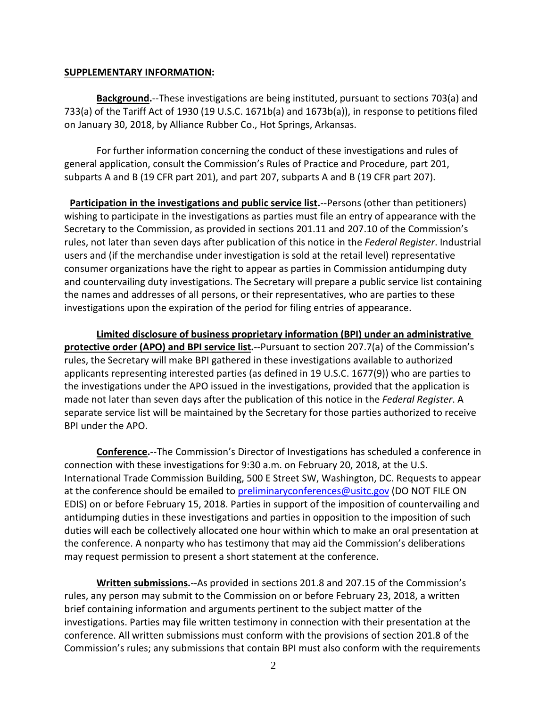#### **SUPPLEMENTARY INFORMATION:**

**Background.**--These investigations are being instituted, pursuant to sections 703(a) and 733(a) of the Tariff Act of 1930 (19 U.S.C. 1671b(a) and 1673b(a)), in response to petitions filed on January 30, 2018, by Alliance Rubber Co., Hot Springs, Arkansas.

For further information concerning the conduct of these investigations and rules of general application, consult the Commission's Rules of Practice and Procedure, part 201, subparts A and B (19 CFR part 201), and part 207, subparts A and B (19 CFR part 207).

**Participation in the investigations and public service list.**--Persons (other than petitioners) wishing to participate in the investigations as parties must file an entry of appearance with the Secretary to the Commission, as provided in sections 201.11 and 207.10 of the Commission's rules, not later than seven days after publication of this notice in the *Federal Register*. Industrial users and (if the merchandise under investigation is sold at the retail level) representative consumer organizations have the right to appear as parties in Commission antidumping duty and countervailing duty investigations. The Secretary will prepare a public service list containing the names and addresses of all persons, or their representatives, who are parties to these investigations upon the expiration of the period for filing entries of appearance.

**Limited disclosure of business proprietary information (BPI) under an administrative protective order (APO) and BPI service list.**--Pursuant to section 207.7(a) of the Commission's rules, the Secretary will make BPI gathered in these investigations available to authorized applicants representing interested parties (as defined in 19 U.S.C. 1677(9)) who are parties to the investigations under the APO issued in the investigations, provided that the application is made not later than seven days after the publication of this notice in the *Federal Register*. A separate service list will be maintained by the Secretary for those parties authorized to receive BPI under the APO.

**Conference.**--The Commission's Director of Investigations has scheduled a conference in connection with these investigations for 9:30 a.m. on February 20, 2018, at the U.S. International Trade Commission Building, 500 E Street SW, Washington, DC. Requests to appear at the conference should be emailed to [preliminaryconferences@usitc.gov](mailto:preliminaryconferences@usitc.gov) (DO NOT FILE ON EDIS) on or before February 15, 2018. Parties in support of the imposition of countervailing and antidumping duties in these investigations and parties in opposition to the imposition of such duties will each be collectively allocated one hour within which to make an oral presentation at the conference. A nonparty who has testimony that may aid the Commission's deliberations may request permission to present a short statement at the conference.

**Written submissions.**--As provided in sections 201.8 and 207.15 of the Commission's rules, any person may submit to the Commission on or before February 23, 2018, a written brief containing information and arguments pertinent to the subject matter of the investigations. Parties may file written testimony in connection with their presentation at the conference. All written submissions must conform with the provisions of section 201.8 of the Commission's rules; any submissions that contain BPI must also conform with the requirements